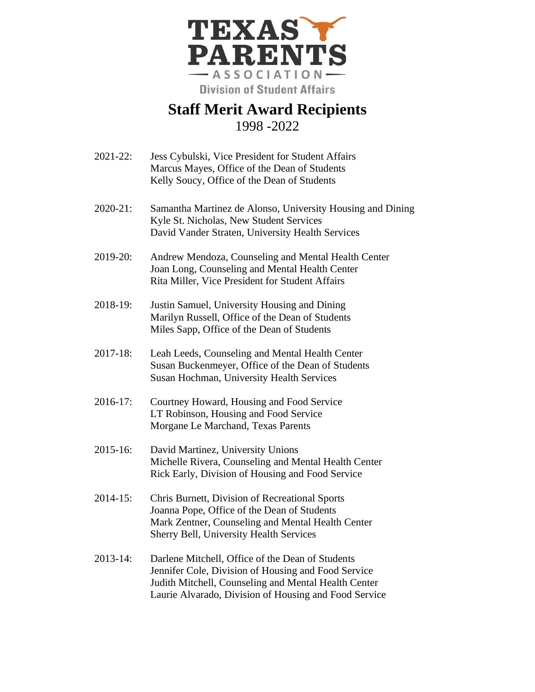

## **Staff Merit Award Recipients** 1998 -2022

- 2021-22: Jess Cybulski, Vice President for Student Affairs Marcus Mayes, Office of the Dean of Students Kelly Soucy, Office of the Dean of Students
- 2020-21: Samantha Martinez de Alonso, University Housing and Dining Kyle St. Nicholas, New Student Services David Vander Straten, University Health Services
- 2019-20: Andrew Mendoza, Counseling and Mental Health Center Joan Long, Counseling and Mental Health Center Rita Miller, Vice President for Student Affairs
- 2018-19: Justin Samuel, University Housing and Dining Marilyn Russell, Office of the Dean of Students Miles Sapp, Office of the Dean of Students
- 2017-18: Leah Leeds, Counseling and Mental Health Center Susan Buckenmeyer, Office of the Dean of Students Susan Hochman, University Health Services
- 2016-17: Courtney Howard, Housing and Food Service LT Robinson, Housing and Food Service Morgane Le Marchand, Texas Parents
- 2015-16: David Martinez, University Unions Michelle Rivera, Counseling and Mental Health Center Rick Early, Division of Housing and Food Service
- 2014-15: Chris Burnett, Division of Recreational Sports Joanna Pope, Office of the Dean of Students Mark Zentner, Counseling and Mental Health Center Sherry Bell, University Health Services
- 2013-14: Darlene Mitchell, Office of the Dean of Students Jennifer Cole, Division of Housing and Food Service Judith Mitchell, Counseling and Mental Health Center Laurie Alvarado, Division of Housing and Food Service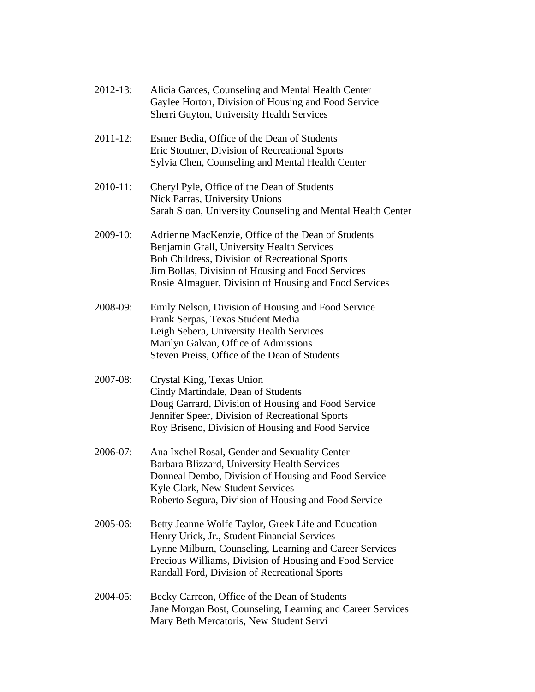| $2012 - 13$ : | Alicia Garces, Counseling and Mental Health Center<br>Gaylee Horton, Division of Housing and Food Service<br>Sherri Guyton, University Health Services                                                                                                                     |
|---------------|----------------------------------------------------------------------------------------------------------------------------------------------------------------------------------------------------------------------------------------------------------------------------|
| 2011-12:      | Esmer Bedia, Office of the Dean of Students<br>Eric Stoutner, Division of Recreational Sports<br>Sylvia Chen, Counseling and Mental Health Center                                                                                                                          |
| 2010-11:      | Cheryl Pyle, Office of the Dean of Students<br>Nick Parras, University Unions<br>Sarah Sloan, University Counseling and Mental Health Center                                                                                                                               |
| 2009-10:      | Adrienne MacKenzie, Office of the Dean of Students<br>Benjamin Grall, University Health Services<br>Bob Childress, Division of Recreational Sports<br>Jim Bollas, Division of Housing and Food Services<br>Rosie Almaguer, Division of Housing and Food Services           |
| 2008-09:      | Emily Nelson, Division of Housing and Food Service<br>Frank Serpas, Texas Student Media<br>Leigh Sebera, University Health Services<br>Marilyn Galvan, Office of Admissions<br>Steven Preiss, Office of the Dean of Students                                               |
| 2007-08:      | Crystal King, Texas Union<br>Cindy Martindale, Dean of Students<br>Doug Garrard, Division of Housing and Food Service<br>Jennifer Speer, Division of Recreational Sports<br>Roy Briseno, Division of Housing and Food Service                                              |
| 2006-07:      | Ana Ixchel Rosal, Gender and Sexuality Center<br>Barbara Blizzard, University Health Services<br>Donneal Dembo, Division of Housing and Food Service<br>Kyle Clark, New Student Services<br>Roberto Segura, Division of Housing and Food Service                           |
| 2005-06:      | Betty Jeanne Wolfe Taylor, Greek Life and Education<br>Henry Urick, Jr., Student Financial Services<br>Lynne Milburn, Counseling, Learning and Career Services<br>Precious Williams, Division of Housing and Food Service<br>Randall Ford, Division of Recreational Sports |
| 2004-05:      | Becky Carreon, Office of the Dean of Students<br>Jane Morgan Bost, Counseling, Learning and Career Services<br>Mary Beth Mercatoris, New Student Servi                                                                                                                     |